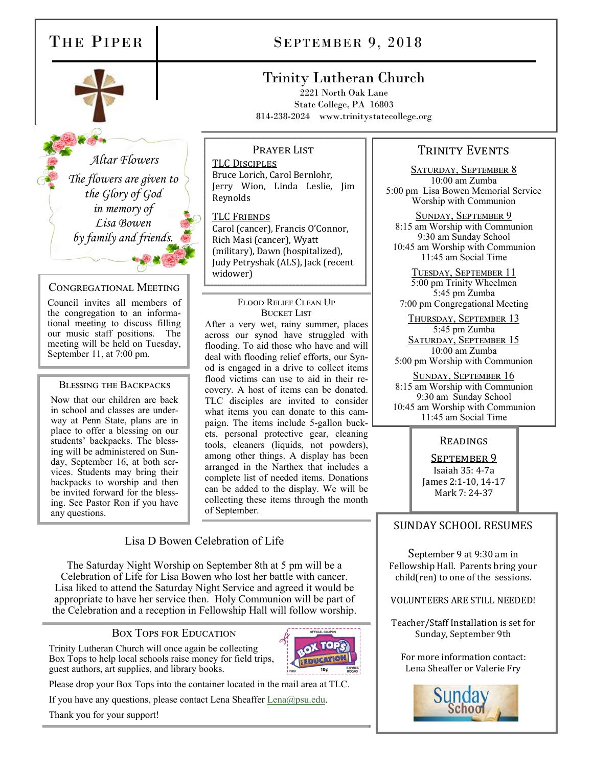

 *Altar Flowers The flowers are given to the Glory of God in memory of Lisa Bowen by family and friends.* 

#### CONGREGATIONAL MEETING

Council invites all members of the congregation to an informational meeting to discuss filling our music staff positions. The meeting will be held on Tuesday, September 11, at 7:00 pm.

#### BLESSING THE BACKPACKS

Now that our children are back in school and classes are underway at Penn State, plans are in place to offer a blessing on our students' backpacks. The blessing will be administered on Sunday, September 16, at both services. Students may bring their backpacks to worship and then be invited forward for the blessing. See Pastor Ron if you have any questions.

# THE PIPER SEPTEMBER 9, 2018

# Trinity Lutheran Church

2221 North Oak Lane State College, PA 16803 814-238-2024 www.trinitystatecollege.org

#### PRAYER LIST

TLC DISCIPLES Bruce Lorich, Carol Bernlohr, Jerry Wion, Linda Leslie, Jim Reynolds

#### **TLC FRIENDS**

Carol (cancer), Francis O'Connor, Rich Masi (cancer), Wyatt (military), Dawn (hospitalized), Judy Petryshak (ALS), Jack (recent widower)

#### FLOOD RELIEF CLEAN UP BUCKET LIST

After a very wet, rainy summer, places across our synod have struggled with flooding. To aid those who have and will deal with flooding relief efforts, our Synod is engaged in a drive to collect items flood victims can use to aid in their recovery. A host of items can be donated. TLC disciples are invited to consider what items you can donate to this campaign. The items include 5-gallon buckets, personal protective gear, cleaning tools, cleaners (liquids, not powders), among other things. A display has been arranged in the Narthex that includes a complete list of needed items. Donations can be added to the display. We will be collecting these items through the month of September.

## Lisa D Bowen Celebration of Life

The Saturday Night Worship on September 8th at 5 pm will be a Celebration of Life for Lisa Bowen who lost her battle with cancer. Lisa liked to attend the Saturday Night Service and agreed it would be appropriate to have her service then. Holy Communion will be part of the Celebration and a reception in Fellowship Hall will follow worship.

### BOX TOPS FOR EDUCATION

Trinity Lutheran Church will once again be collecting Box Tops to help local schools raise money for field trips, guest authors, art supplies, and library books.



Please drop your Box Tops into the container located in the mail area at TLC.

If you have any questions, please contact Lena Sheaffer Lena@psu.edu.

Thank you for your support!

# TRINITY EVENTS

SATURDAY, SEPTEMBER 8 10:00 am Zumba 5:00 pm Lisa Bowen Memorial Service Worship with Communion

SUNDAY, SEPTEMBER 9 8:15 am Worship with Communion 9:30 am Sunday School 10:45 am Worship with Communion 11:45 am Social Time

TUESDAY, SEPTEMBER 11 5:00 pm Trinity Wheelmen 5:45 pm Zumba 7:00 pm Congregational Meeting

THURSDAY, SEPTEMBER 13 5:45 pm Zumba SATURDAY, SEPTEMBER 15 10:00 am Zumba 5:00 pm Worship with Communion

SUNDAY, SEPTEMBER 16 8:15 am Worship with Communion 9:30 am Sunday School 10:45 am Worship with Communion 11:45 am Social Time

# READINGS

SEPTEMBER 9 Isaiah 35: 4-7a

James 2:1-10, 14-17 Mark 7: 24-37

# SUNDAY SCHOOL RESUMES

September 9 at 9:30 am in Fellowship Hall. Parents bring your child(ren) to one of the sessions.

VOLUNTEERS ARE STILL NEEDED!

Teacher/Staff Installation is set for Sunday, September 9th

For more information contact: Lena Sheaffer or Valerie Fry

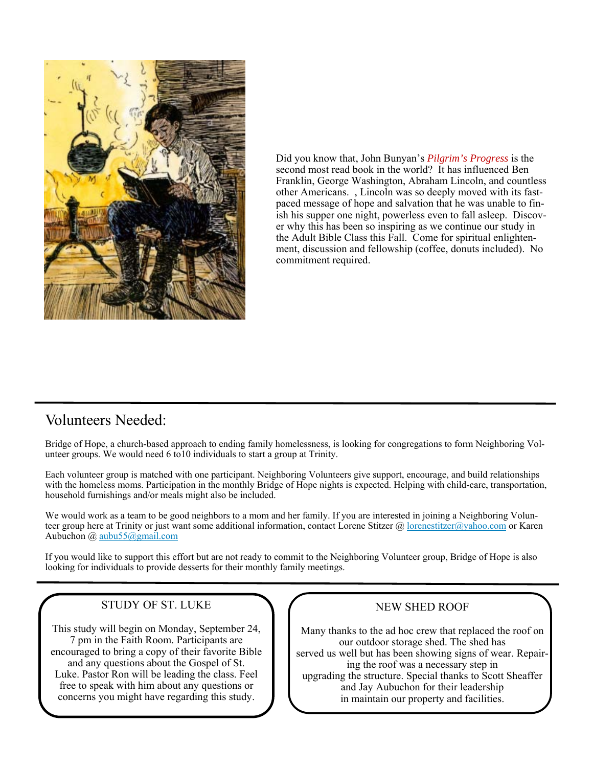

Did you know that, John Bunyan's *Pilgrim's Progress* is the second most read book in the world? It has influenced Ben Franklin, George Washington, Abraham Lincoln, and countless other Americans. , Lincoln was so deeply moved with its fastpaced message of hope and salvation that he was unable to finish his supper one night, powerless even to fall asleep. Discover why this has been so inspiring as we continue our study in the Adult Bible Class this Fall. Come for spiritual enlightenment, discussion and fellowship (coffee, donuts included). No commitment required.

# Volunteers Needed:

Bridge of Hope, a church-based approach to ending family homelessness, is looking for congregations to form Neighboring Volunteer groups. We would need 6 to10 individuals to start a group at Trinity.

Each volunteer group is matched with one participant. Neighboring Volunteers give support, encourage, and build relationships with the homeless moms. Participation in the monthly Bridge of Hope nights is expected. Helping with child-care, transportation, household furnishings and/or meals might also be included.

We would work as a team to be good neighbors to a mom and her family. If you are interested in joining a Neighboring Volunteer group here at Trinity or just want some additional information, contact Lorene Stitzer @ lorenestitzer@yahoo.com or Karen Aubuchon @ aubu55@gmail.com

If you would like to support this effort but are not ready to commit to the Neighboring Volunteer group, Bridge of Hope is also looking for individuals to provide desserts for their monthly family meetings.

### STUDY OF ST. LUKE

This study will begin on Monday, September 24, 7 pm in the Faith Room. Participants are encouraged to bring a copy of their favorite Bible and any questions about the Gospel of St. Luke. Pastor Ron will be leading the class. Feel free to speak with him about any questions or concerns you might have regarding this study.

#### NEW SHED ROOF

Many thanks to the ad hoc crew that replaced the roof on our outdoor storage shed. The shed has served us well but has been showing signs of wear. Repairing the roof was a necessary step in upgrading the structure. Special thanks to Scott Sheaffer and Jay Aubuchon for their leadership in maintain our property and facilities.